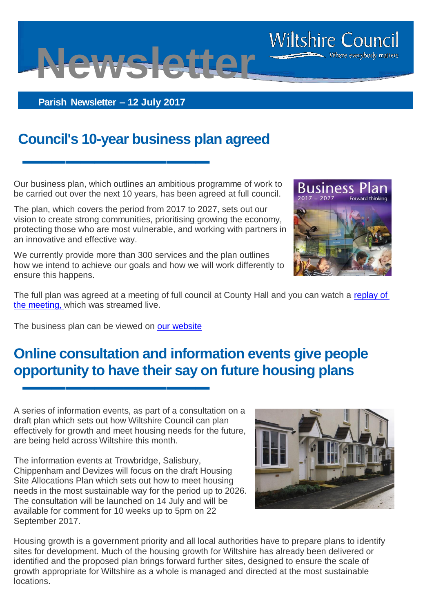**Web** 

**Parish Newsletter – 12 July 2017**

**▬▬▬▬▬▬▬▬▬▬▬▬▬**

## **Council's 10-year business plan agreed**

Our business plan, which outlines an ambitious programme of work to be carried out over the next 10 years, has been agreed at full council.

The plan, which covers the period from 2017 to 2027, sets out our vision to create strong communities, prioritising growing the economy, protecting those who are most vulnerable, and working with partners in an innovative and effective way.

We currently provide more than 300 services and the plan outlines how we intend to achieve our goals and how we will work differently to ensure this happens.

The full plan was agreed at a meeting of full council at County Hall and you can watch a [replay of](https://wiltshire.public-i.tv/core/portal/webcast_interactive/295397)  [the meeting](https://wiltshire.public-i.tv/core/portal/webcast_interactive/295397), which was streamed live.

The business plan can be viewed on [our website](http://www.wiltshire.gov.uk/news/articles/business-plan-agreed)

**▬▬▬▬▬▬▬▬▬▬▬▬▬**

## **Online consultation and information events give people opportunity to have their say on future housing plans**

A series of information events, as part of a consultation on a draft plan which sets out how Wiltshire Council can plan effectively for growth and meet housing needs for the future, are being held across Wiltshire this month.

The information events at Trowbridge, Salisbury, Chippenham and Devizes will focus on the draft Housing Site Allocations Plan which sets out how to meet housing needs in the most sustainable way for the period up to 2026. The consultation will be launched on 14 July and will be available for comment for 10 weeks up to 5pm on 22 September 2017.

Housing growth is a government priority and all local authorities have to prepare plans to identify sites for development. Much of the housing growth for Wiltshire has already been delivered or identified and the proposed plan brings forward further sites, designed to ensure the scale of growth appropriate for Wiltshire as a whole is managed and directed at the most sustainable locations.







Where everybody matters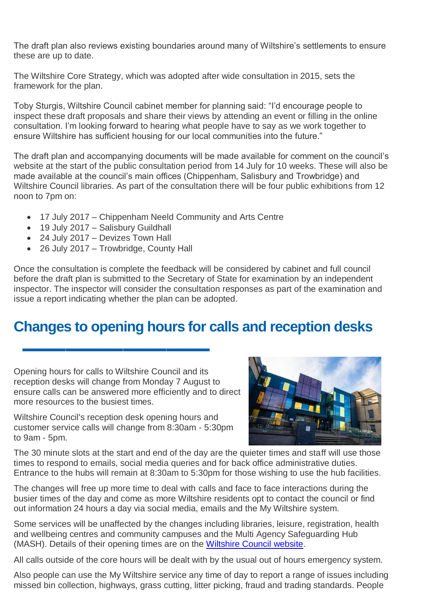The draft plan also reviews existing boundaries around many of Wiltshire's settlements to ensure these are up to date.

The Wiltshire Core Strategy, which was adopted after wide consultation in 2015, sets the framework for the plan.

Toby Sturgis, Wiltshire Council cabinet member for planning said: "I'd encourage people to inspect these draft proposals and share their views by attending an event or filling in the online consultation. I'm looking forward to hearing what people have to say as we work together to ensure Wiltshire has sufficient housing for our local communities into the future."

The draft plan and accompanying documents will be made available for comment on the council's website at the start of the public consultation period from 14 July for 10 weeks. These will also be made available at the council's main offices (Chippenham, Salisbury and Trowbridge) and Wiltshire Council libraries. As part of the consultation there will be four public exhibitions from 12 noon to 7pm on:

- 17 July 2017 Chippenham Neeld Community and Arts Centre
- 19 July 2017 Salisbury Guildhall
- 24 July 2017 Devizes Town Hall
- 26 July 2017 Trowbridge, County Hall

Once the consultation is complete the feedback will be considered by cabinet and full council before the draft plan is submitted to the Secretary of State for examination by an independent inspector. The inspector will consider the consultation responses as part of the examination and issue a report indicating whether the plan can be adopted.

## **Changes to opening hours for calls and reception desks**

Opening hours for calls to Wiltshire Council and its reception desks will change from Monday 7 August to ensure calls can be answered more efficiently and to direct more resources to the busiest times.

**▬▬▬▬▬▬▬▬▬▬▬▬▬**

Wiltshire Council's reception desk opening hours and customer service calls will change from 8:30am - 5:30pm to 9am - 5pm.



The 30 minute slots at the start and end of the day are the quieter times and staff will use those times to respond to emails, social media queries and for back office administrative duties. Entrance to the hubs will remain at 8:30am to 5:30pm for those wishing to use the hub facilities.

The changes will free up more time to deal with calls and face to face interactions during the busier times of the day and come as more Wiltshire residents opt to contact the council or find out information 24 hours a day via social media, emails and the My Wiltshire system.

Some services will be unaffected by the changes including libraries, leisure, registration, health and wellbeing centres and community campuses and the Multi Agency Safeguarding Hub (MASH). Details of their opening times are on the [Wiltshire Council website.](http://www.wiltshire.gov.uk/)

All calls outside of the core hours will be dealt with by the usual out of hours emergency system.

Also people can use the My Wiltshire service any time of day to report a range of issues including missed bin collection, highways, grass cutting, litter picking, fraud and trading standards. People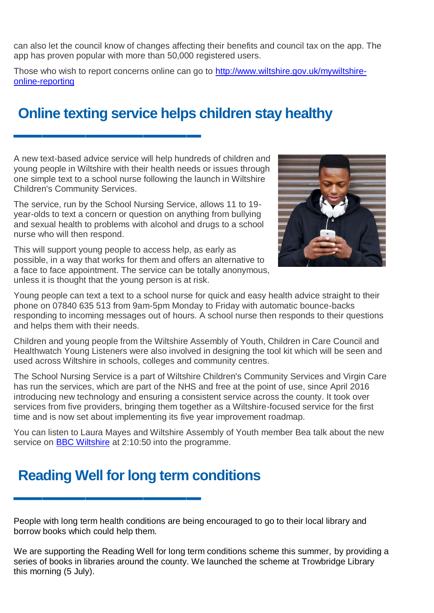can also let the council know of changes affecting their benefits and council tax on the app. The app has proven popular with more than 50,000 registered users.

Those who wish to report concerns online can go to [http://www.wiltshire.gov.uk/mywiltshire](http://www.wiltshire.gov.uk/mywiltshire-online-reporting)[online-reporting](http://www.wiltshire.gov.uk/mywiltshire-online-reporting)

## **Online texting service helps children stay healthy**

A new text-based advice service will help hundreds of children and young people in Wiltshire with their health needs or issues through one simple text to a school nurse following the launch in Wiltshire Children's Community Services.

<u></sub></u>

The service, run by the School Nursing Service, allows 11 to 19 year-olds to text a concern or question on anything from bullying and sexual health to problems with alcohol and drugs to a school nurse who will then respond.

This will support young people to access help, as early as possible, in a way that works for them and offers an alternative to a face to face appointment. The service can be totally anonymous, unless it is thought that the young person is at risk.



Young people can text a text to a school nurse for quick and easy health advice straight to their phone on 07840 635 513 from 9am-5pm Monday to Friday with automatic bounce-backs responding to incoming messages out of hours. A school nurse then responds to their questions and helps them with their needs.

Children and young people from the Wiltshire Assembly of Youth, Children in Care Council and Healthwatch Young Listeners were also involved in designing the tool kit which will be seen and used across Wiltshire in schools, colleges and community centres.

The School Nursing Service is a part of Wiltshire Children's Community Services and Virgin Care has run the services, which are part of the NHS and free at the point of use, since April 2016 introducing new technology and ensuring a consistent service across the county. It took over services from five providers, bringing them together as a Wiltshire-focused service for the first time and is now set about implementing its five year improvement roadmap.

You can listen to Laura Mayes and Wiltshire Assembly of Youth member Bea talk about the new service on [BBC Wiltshire](http://www.bbc.co.uk/programmes/p0572n41#play) at 2:10:50 into the programme.

### **Reading Well for long term conditions**

**▬▬▬▬▬▬▬▬▬▬▬▬▬**

People with long term health conditions are being encouraged to go to their local library and borrow books which could help them.

We are supporting the Reading Well for long term conditions scheme this summer, by providing a series of books in libraries around the county. We launched the scheme at Trowbridge Library this morning (5 July).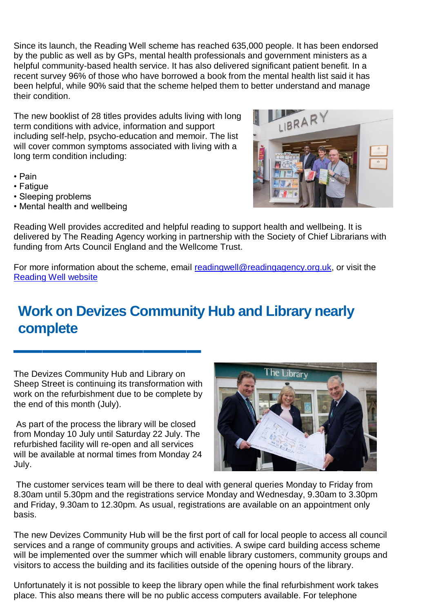Since its launch, the Reading Well scheme has reached 635,000 people. It has been endorsed by the public as well as by GPs, mental health professionals and government ministers as a helpful community-based health service. It has also delivered significant patient benefit. In a recent survey 96% of those who have borrowed a book from the mental health list said it has been helpful, while 90% said that the scheme helped them to better understand and manage their condition.

The new booklist of 28 titles provides adults living with long term conditions with advice, information and support including self-help, psycho-education and memoir. The list will cover common symptoms associated with living with a long term condition including:

- Pain
- Fatigue
- Sleeping problems
- Mental health and wellbeing

Reading Well provides accredited and helpful reading to support health and wellbeing. It is delivered by The Reading Agency working in partnership with the Society of Chief Librarians with funding from Arts Council England and the Wellcome Trust.

For more information about the scheme, email [readingwell@readingagency.org.uk,](mailto:readingwell@readingagency.org.uk) or visit the [Reading Well website](http://www.reading-well.org.uk/)

## **Work on Devizes Community Hub and Library nearly complete**

The Devizes Community Hub and Library on Sheep Street is continuing its transformation with work on the refurbishment due to be complete by the end of this month (July).

**▬▬▬▬▬▬▬▬▬▬▬▬▬**

As part of the process the library will be closed from Monday 10 July until Saturday 22 July. The refurbished facility will re-open and all services will be available at normal times from Monday 24 July.



The customer services team will be there to deal with general queries Monday to Friday from 8.30am until 5.30pm and the registrations service Monday and Wednesday, 9.30am to 3.30pm and Friday, 9.30am to 12.30pm. As usual, registrations are available on an appointment only basis.

The new Devizes Community Hub will be the first port of call for local people to access all council services and a range of community groups and activities. A swipe card building access scheme will be implemented over the summer which will enable library customers, community groups and visitors to access the building and its facilities outside of the opening hours of the library.

Unfortunately it is not possible to keep the library open while the final refurbishment work takes place. This also means there will be no public access computers available. For telephone

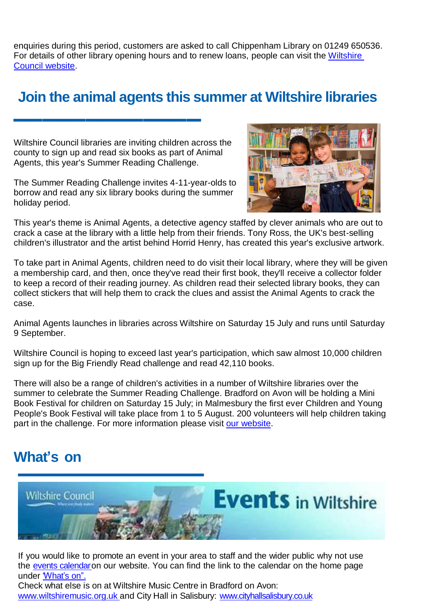enquiries during this period, customers are asked to call Chippenham Library on 01249 650536. For details of other library opening hours and to renew loans, people can visit the [Wiltshire](http://www.wiltshire.gov.uk/libraries-home)  [Council website.](http://www.wiltshire.gov.uk/libraries-home)

### **Join the animal agents this summer at Wiltshire libraries**

Wiltshire Council libraries are inviting children across the county to sign up and read six books as part of Animal Agents, this year's Summer Reading Challenge.

**▬▬▬▬▬▬▬▬▬▬▬▬▬**

The Summer Reading Challenge invites 4-11-year-olds to borrow and read any six library books during the summer holiday period.



This year's theme is Animal Agents, a detective agency staffed by clever animals who are out to crack a case at the library with a little help from their friends. Tony Ross, the UK's best-selling children's illustrator and the artist behind Horrid Henry, has created this year's exclusive artwork.

To take part in Animal Agents, children need to do visit their local library, where they will be given a membership card, and then, once they've read their first book, they'll receive a collector folder to keep a record of their reading journey. As children read their selected library books, they can collect stickers that will help them to crack the clues and assist the Animal Agents to crack the case.

Animal Agents launches in libraries across Wiltshire on Saturday 15 July and runs until Saturday 9 September.

Wiltshire Council is hoping to exceed last year's participation, which saw almost 10,000 children sign up for the Big Friendly Read challenge and read 42,110 books.

There will also be a range of children's activities in a number of Wiltshire libraries over the summer to celebrate the Summer Reading Challenge. Bradford on Avon will be holding a Mini Book Festival for children on Saturday 15 July; in Malmesbury the first ever Children and Young People's Book Festival will take place from 1 to 5 August. 200 volunteers will help children taking part in the challenge. For more information please visit [our website.](http://www.wiltshire.gov.uk/news/articles/animal-agents)

#### **What's on**



If you would like to promote an event in your area to staff and the wider public why not use the [events](http://events.wiltshire.gov.uk/) [calendaro](http://events.wiltshire.gov.uk/)n our website. You can find the link to the calendar on the home page under 'What's on".

Check what else is on at Wiltshire Music Centre in Bradford on Avon: [www.wiltshiremusic.org.uk](http://www.wiltshiremusic.org.uk/) and City Hall in Salisbury: [www.cityhallsalisbury.co.uk](http://www.cityhallsalisbury.co.uk/)